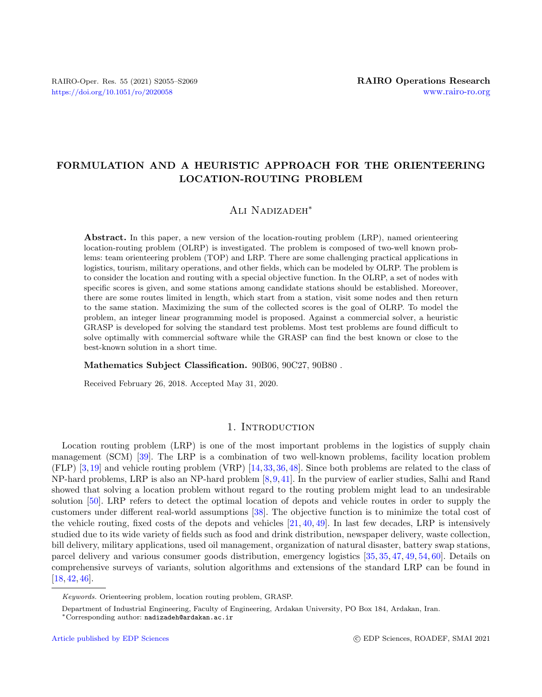# FORMULATION AND A HEURISTIC APPROACH FOR THE ORIENTEERING LOCATION-ROUTING PROBLEM

# Ali Nadizadeh<sup>∗</sup>

Abstract. In this paper, a new version of the location-routing problem (LRP), named orienteering location-routing problem (OLRP) is investigated. The problem is composed of two-well known problems: team orienteering problem (TOP) and LRP. There are some challenging practical applications in logistics, tourism, military operations, and other fields, which can be modeled by OLRP. The problem is to consider the location and routing with a special objective function. In the OLRP, a set of nodes with specific scores is given, and some stations among candidate stations should be established. Moreover, there are some routes limited in length, which start from a station, visit some nodes and then return to the same station. Maximizing the sum of the collected scores is the goal of OLRP. To model the problem, an integer linear programming model is proposed. Against a commercial solver, a heuristic GRASP is developed for solving the standard test problems. Most test problems are found difficult to solve optimally with commercial software while the GRASP can find the best known or close to the best-known solution in a short time.

#### Mathematics Subject Classification. 90B06, 90C27, 90B80 .

Received February 26, 2018. Accepted May 31, 2020.

## 1. INTRODUCTION

Location routing problem (LRP) is one of the most important problems in the logistics of supply chain management (SCM) [\[39\]](#page-13-0). The LRP is a combination of two well-known problems, facility location problem (FLP) [\[3,](#page-12-0)[19\]](#page-13-1) and vehicle routing problem (VRP) [\[14,](#page-12-1)[33,](#page-13-2)[36,](#page-13-3)[48\]](#page-14-0). Since both problems are related to the class of NP-hard problems, LRP is also an NP-hard problem [\[8,](#page-12-2)[9,](#page-12-3)[41\]](#page-13-4). In the purview of earlier studies, Salhi and Rand showed that solving a location problem without regard to the routing problem might lead to an undesirable solution [\[50\]](#page-14-1). LRP refers to detect the optimal location of depots and vehicle routes in order to supply the customers under different real-world assumptions [\[38\]](#page-13-5). The objective function is to minimize the total cost of the vehicle routing, fixed costs of the depots and vehicles  $[21, 40, 49]$  $[21, 40, 49]$  $[21, 40, 49]$  $[21, 40, 49]$  $[21, 40, 49]$ . In last few decades, LRP is intensively studied due to its wide variety of fields such as food and drink distribution, newspaper delivery, waste collection, bill delivery, military applications, used oil management, organization of natural disaster, battery swap stations, parcel delivery and various consumer goods distribution, emergency logistics [\[35,](#page-13-8) [35,](#page-13-8) [47,](#page-14-3) [49,](#page-14-2) [54,](#page-14-4) [60\]](#page-14-5). Details on comprehensive surveys of variants, solution algorithms and extensions of the standard LRP can be found in  $[18, 42, 46]$  $[18, 42, 46]$  $[18, 42, 46]$  $[18, 42, 46]$  $[18, 42, 46]$ .

Keywords. Orienteering problem, location routing problem, GRASP.

Department of Industrial Engineering, Faculty of Engineering, Ardakan University, PO Box 184, Ardakan, Iran.

<sup>∗</sup>Corresponding author: [nadizadeh@ardakan.ac.ir](mailto:nadizadeh@ardakan.ac.ir)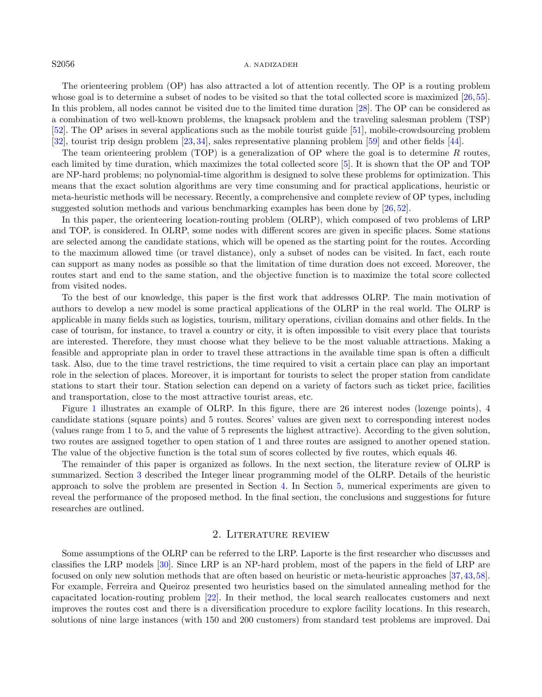#### S2056 A. NADIZADEH

The orienteering problem (OP) has also attracted a lot of attention recently. The OP is a routing problem whose goal is to determine a subset of nodes to be visited so that the total collected score is maximized [\[26,](#page-13-12)[55\]](#page-14-6). In this problem, all nodes cannot be visited due to the limited time duration [\[28\]](#page-13-13). The OP can be considered as a combination of two well-known problems, the knapsack problem and the traveling salesman problem (TSP) [\[52\]](#page-14-7). The OP arises in several applications such as the mobile tourist guide [\[51\]](#page-14-8), mobile-crowdsourcing problem [\[32\]](#page-13-14), tourist trip design problem [\[23,](#page-13-15) [34\]](#page-13-16), sales representative planning problem [\[59\]](#page-14-9) and other fields [\[44\]](#page-13-17).

The team orienteering problem (TOP) is a generalization of OP where the goal is to determine R routes. each limited by time duration, which maximizes the total collected score [\[5\]](#page-12-4). It is shown that the OP and TOP are NP-hard problems; no polynomial-time algorithm is designed to solve these problems for optimization. This means that the exact solution algorithms are very time consuming and for practical applications, heuristic or meta-heuristic methods will be necessary. Recently, a comprehensive and complete review of OP types, including suggested solution methods and various benchmarking examples has been done by [\[26,](#page-13-12) [52\]](#page-14-7).

In this paper, the orienteering location-routing problem (OLRP), which composed of two problems of LRP and TOP, is considered. In OLRP, some nodes with different scores are given in specific places. Some stations are selected among the candidate stations, which will be opened as the starting point for the routes. According to the maximum allowed time (or travel distance), only a subset of nodes can be visited. In fact, each route can support as many nodes as possible so that the limitation of time duration does not exceed. Moreover, the routes start and end to the same station, and the objective function is to maximize the total score collected from visited nodes.

To the best of our knowledge, this paper is the first work that addresses OLRP. The main motivation of authors to develop a new model is some practical applications of the OLRP in the real world. The OLRP is applicable in many fields such as logistics, tourism, military operations, civilian domains and other fields. In the case of tourism, for instance, to travel a country or city, it is often impossible to visit every place that tourists are interested. Therefore, they must choose what they believe to be the most valuable attractions. Making a feasible and appropriate plan in order to travel these attractions in the available time span is often a difficult task. Also, due to the time travel restrictions, the time required to visit a certain place can play an important role in the selection of places. Moreover, it is important for tourists to select the proper station from candidate stations to start their tour. Station selection can depend on a variety of factors such as ticket price, facilities and transportation, close to the most attractive tourist areas, etc.

Figure [1](#page-2-0) illustrates an example of OLRP. In this figure, there are 26 interest nodes (lozenge points), 4 candidate stations (square points) and 5 routes. Scores' values are given next to corresponding interest nodes (values range from 1 to 5, and the value of 5 represents the highest attractive). According to the given solution, two routes are assigned together to open station of 1 and three routes are assigned to another opened station. The value of the objective function is the total sum of scores collected by five routes, which equals 46.

The remainder of this paper is organized as follows. In the next section, the literature review of OLRP is summarized. Section [3](#page-3-0) described the Integer linear programming model of the OLRP. Details of the heuristic approach to solve the problem are presented in Section [4.](#page-5-0) In Section [5,](#page-7-0) numerical experiments are given to reveal the performance of the proposed method. In the final section, the conclusions and suggestions for future researches are outlined.

## 2. Literature review

Some assumptions of the OLRP can be referred to the LRP. Laporte is the first researcher who discusses and classifies the LRP models [\[30\]](#page-13-18). Since LRP is an NP-hard problem, most of the papers in the field of LRP are focused on only new solution methods that are often based on heuristic or meta-heuristic approaches [\[37,](#page-13-19)[43,](#page-13-20)[58\]](#page-14-10). For example, Ferreira and Queiroz presented two heuristics based on the simulated annealing method for the capacitated location-routing problem [\[22\]](#page-13-21). In their method, the local search reallocates customers and next improves the routes cost and there is a diversification procedure to explore facility locations. In this research, solutions of nine large instances (with 150 and 200 customers) from standard test problems are improved. Dai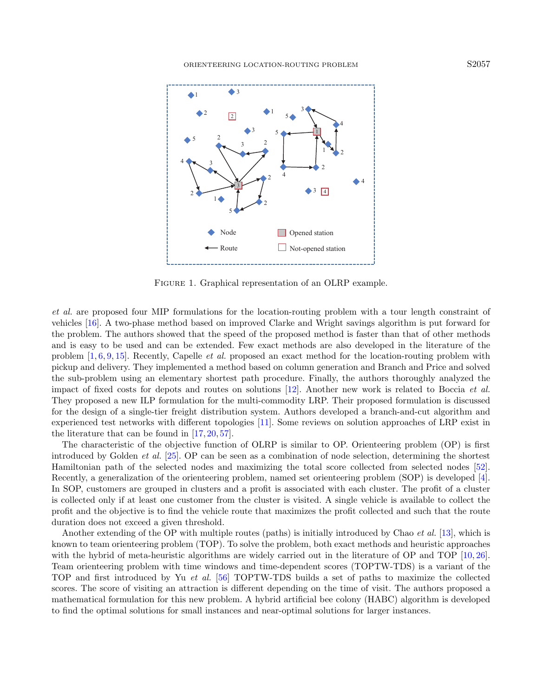<span id="page-2-0"></span>

FIGURE 1. Graphical representation of an OLRP example.

et al. are proposed four MIP formulations for the location-routing problem with a tour length constraint of vehicles [\[16\]](#page-13-22). A two-phase method based on improved Clarke and Wright savings algorithm is put forward for the problem. The authors showed that the speed of the proposed method is faster than that of other methods and is easy to be used and can be extended. Few exact methods are also developed in the literature of the problem [\[1,](#page-12-5) [6,](#page-12-6) [9,](#page-12-3) [15\]](#page-12-7). Recently, Capelle et al. proposed an exact method for the location-routing problem with pickup and delivery. They implemented a method based on column generation and Branch and Price and solved the sub-problem using an elementary shortest path procedure. Finally, the authors thoroughly analyzed the impact of fixed costs for depots and routes on solutions [\[12\]](#page-12-8). Another new work is related to Boccia et al. They proposed a new ILP formulation for the multi-commodity LRP. Their proposed formulation is discussed for the design of a single-tier freight distribution system. Authors developed a branch-and-cut algorithm and experienced test networks with different topologies [\[11\]](#page-12-9). Some reviews on solution approaches of LRP exist in the literature that can be found in [\[17,](#page-13-23) [20,](#page-13-24) [57\]](#page-14-11).

The characteristic of the objective function of OLRP is similar to OP. Orienteering problem (OP) is first introduced by Golden et al. [\[25\]](#page-13-25). OP can be seen as a combination of node selection, determining the shortest Hamiltonian path of the selected nodes and maximizing the total score collected from selected nodes [\[52\]](#page-14-7). Recently, a generalization of the orienteering problem, named set orienteering problem (SOP) is developed [\[4\]](#page-12-10). In SOP, customers are grouped in clusters and a profit is associated with each cluster. The profit of a cluster is collected only if at least one customer from the cluster is visited. A single vehicle is available to collect the profit and the objective is to find the vehicle route that maximizes the profit collected and such that the route duration does not exceed a given threshold.

Another extending of the OP with multiple routes (paths) is initially introduced by Chao et al. [\[13\]](#page-12-11), which is known to team orienteering problem (TOP). To solve the problem, both exact methods and heuristic approaches with the hybrid of meta-heuristic algorithms are widely carried out in the literature of OP and TOP [\[10,](#page-12-12) [26\]](#page-13-12). Team orienteering problem with time windows and time-dependent scores (TOPTW-TDS) is a variant of the TOP and first introduced by Yu et al. [\[56\]](#page-14-12) TOPTW-TDS builds a set of paths to maximize the collected scores. The score of visiting an attraction is different depending on the time of visit. The authors proposed a mathematical formulation for this new problem. A hybrid artificial bee colony (HABC) algorithm is developed to find the optimal solutions for small instances and near-optimal solutions for larger instances.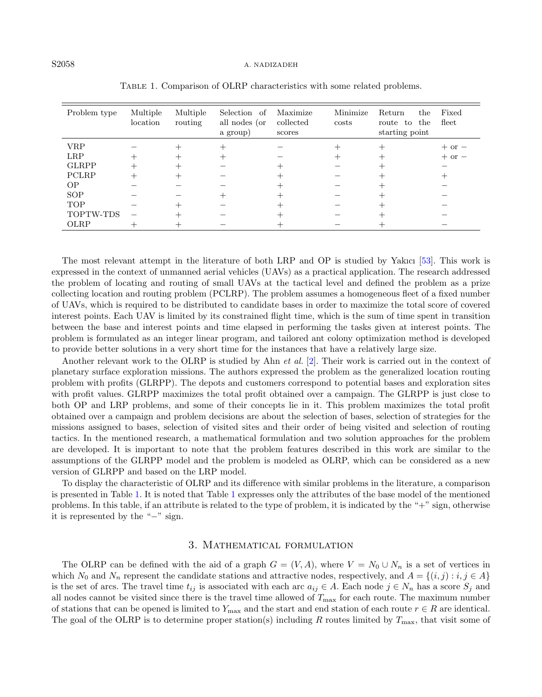#### S2058 A. NADIZADEH

| Problem type | Multiple<br>location | Multiple<br>routing | Selection of<br>all nodes (or<br>a group) | Maximize<br>collected<br>scores | Minimize<br>costs | Return<br>the<br>the<br>route to<br>starting point | Fixed<br>fleet |
|--------------|----------------------|---------------------|-------------------------------------------|---------------------------------|-------------------|----------------------------------------------------|----------------|
| <b>VRP</b>   |                      |                     |                                           |                                 |                   |                                                    | $+$ or $-$     |
| <b>LRP</b>   |                      |                     |                                           |                                 |                   |                                                    | $+$ or $-$     |
| <b>GLRPP</b> |                      |                     |                                           |                                 |                   |                                                    |                |
| PCLRP        |                      |                     |                                           |                                 |                   |                                                    |                |
| <b>OP</b>    |                      |                     |                                           |                                 |                   |                                                    |                |
| SOP          |                      |                     |                                           |                                 |                   |                                                    |                |
| <b>TOP</b>   |                      |                     |                                           |                                 |                   |                                                    |                |
| TOPTW-TDS    |                      |                     |                                           |                                 |                   |                                                    |                |
| OLRP         |                      |                     |                                           |                                 |                   |                                                    |                |

<span id="page-3-1"></span>Table 1. Comparison of OLRP characteristics with some related problems.

The most relevant attempt in the literature of both LRP and OP is studied by Yakıcı [\[53\]](#page-14-13). This work is expressed in the context of unmanned aerial vehicles (UAVs) as a practical application. The research addressed the problem of locating and routing of small UAVs at the tactical level and defined the problem as a prize collecting location and routing problem (PCLRP). The problem assumes a homogeneous fleet of a fixed number of UAVs, which is required to be distributed to candidate bases in order to maximize the total score of covered interest points. Each UAV is limited by its constrained flight time, which is the sum of time spent in transition between the base and interest points and time elapsed in performing the tasks given at interest points. The problem is formulated as an integer linear program, and tailored ant colony optimization method is developed to provide better solutions in a very short time for the instances that have a relatively large size.

Another relevant work to the OLRP is studied by Ahn et al. [\[2\]](#page-12-13). Their work is carried out in the context of planetary surface exploration missions. The authors expressed the problem as the generalized location routing problem with profits (GLRPP). The depots and customers correspond to potential bases and exploration sites with profit values. GLRPP maximizes the total profit obtained over a campaign. The GLRPP is just close to both OP and LRP problems, and some of their concepts lie in it. This problem maximizes the total profit obtained over a campaign and problem decisions are about the selection of bases, selection of strategies for the missions assigned to bases, selection of visited sites and their order of being visited and selection of routing tactics. In the mentioned research, a mathematical formulation and two solution approaches for the problem are developed. It is important to note that the problem features described in this work are similar to the assumptions of the GLRPP model and the problem is modeled as OLRP, which can be considered as a new version of GLRPP and based on the LRP model.

To display the characteristic of OLRP and its difference with similar problems in the literature, a comparison is presented in Table [1.](#page-3-1) It is noted that Table [1](#page-3-1) expresses only the attributes of the base model of the mentioned problems. In this table, if an attribute is related to the type of problem, it is indicated by the "+" sign, otherwise it is represented by the "−" sign.

## 3. Mathematical formulation

<span id="page-3-0"></span>The OLRP can be defined with the aid of a graph  $G = (V, A)$ , where  $V = N_0 \cup N_n$  is a set of vertices in which  $N_0$  and  $N_n$  represent the candidate stations and attractive nodes, respectively, and  $A = \{(i, j) : i, j \in A\}$ is the set of arcs. The travel time  $t_{ij}$  is associated with each arc  $a_{ij} \in A$ . Each node  $j \in N_n$  has a score  $S_j$  and all nodes cannot be visited since there is the travel time allowed of  $T_{\text{max}}$  for each route. The maximum number of stations that can be opened is limited to  $Y_{\text{max}}$  and the start and end station of each route  $r \in R$  are identical. The goal of the OLRP is to determine proper station(s) including R routes limited by  $T_{\text{max}}$ , that visit some of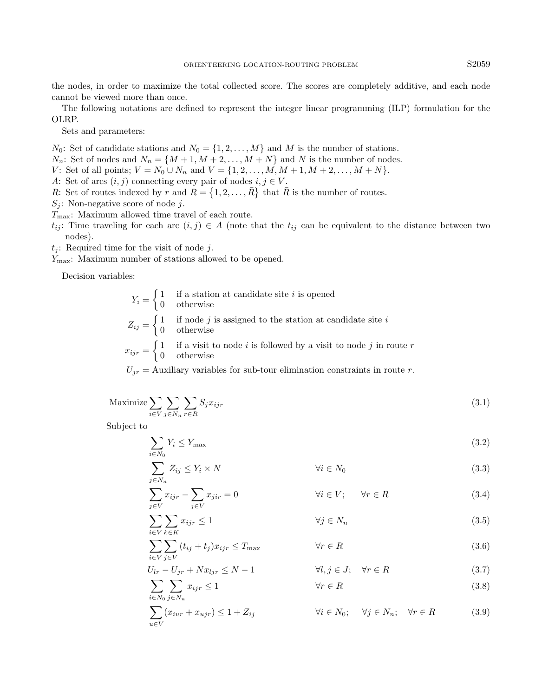the nodes, in order to maximize the total collected score. The scores are completely additive, and each node cannot be viewed more than once.

The following notations are defined to represent the integer linear programming (ILP) formulation for the OLRP.

Sets and parameters:

 $N_0$ : Set of candidate stations and  $N_0 = \{1, 2, ..., M\}$  and M is the number of stations.

 $N_n$ : Set of nodes and  $N_n = \{M+1, M+2, \ldots, M+N\}$  and N is the number of nodes.

V: Set of all points;  $V = N_0 \cup N_n$  and  $V = \{1, 2, ..., M, M + 1, M + 2, ..., M + N\}.$ 

A: Set of arcs  $(i, j)$  connecting every pair of nodes  $i, j \in V$ .

R: Set of routes indexed by r and  $R = \{1, 2, ..., \overline{R}\}\)$  that  $\overline{R}$  is the number of routes.

 $S_i$ : Non-negative score of node j.

 $T_{\text{max}}$ : Maximum allowed time travel of each route.

 $t_{ij}$ : Time traveling for each arc  $(i, j) \in A$  (note that the  $t_{ij}$  can be equivalent to the distance between two nodes).

 $t_i$ : Required time for the visit of node j.

Ymax: Maximum number of stations allowed to be opened.

Decision variables:

<span id="page-4-0"></span>

| $Y_i = \begin{cases} 1 & \text{if a station at candidate site } i \text{ is opened} \\ 0 & \text{otherwise} \end{cases}$                   |
|--------------------------------------------------------------------------------------------------------------------------------------------|
| $Z_{ij} = \begin{cases} 1 & \text{if node } j \text{ is assigned to the station at candidate site } i \\ 0 & \text{otherwise} \end{cases}$ |
| $\int$ 1 if a visit to node <i>i</i> is followed by a visit to node <i>j</i> in route <i>r</i>                                             |

$$
x_{ijr} = \begin{cases} 1 & \text{if a visit to node } i \text{ is followed by a visit to node } j \text{ in} \\ 0 & \text{otherwise} \end{cases}
$$

 $U_{ir}$  = Auxiliary variables for sub-tour elimination constraints in route r.

$$
\text{Maximize} \sum_{i \in V} \sum_{j \in N_n} \sum_{r \in R} S_j x_{ijr} \tag{3.1}
$$

Subject to

 $\sum$ i∈V

<span id="page-4-5"></span><span id="page-4-4"></span><span id="page-4-3"></span><span id="page-4-2"></span><span id="page-4-1"></span>
$$
\sum_{i \in N_0} Y_i \le Y_{\text{max}} \tag{3.2}
$$

$$
\sum_{j \in N_n} Z_{ij} \le Y_i \times N \qquad \forall i \in N_0 \tag{3.3}
$$

$$
\sum_{j \in V} x_{ijr} - \sum_{j \in V} x_{jir} = 0 \qquad \qquad \forall i \in V; \qquad \forall r \in R \tag{3.4}
$$

<span id="page-4-8"></span><span id="page-4-7"></span><span id="page-4-6"></span>
$$
\sum_{k \in K} x_{ijr} \le 1 \qquad \qquad \forall j \in N_n \tag{3.5}
$$

$$
\sum_{i \in V} \sum_{j \in V} (t_{ij} + t_j) x_{ijr} \le T_{\text{max}} \qquad \forall r \in R
$$
\n(3.6)

$$
U_{lr} - U_{jr} + Nx_{ljr} \le N - 1
$$
  
\n
$$
\forall l, j \in J; \forall r \in R
$$
  
\n
$$
\forall r \in R
$$
  
\n(3.7)  
\n(3.8)

$$
\sum_{i \in N_0} \sum_{j \in N_n} x_{ijr} \le 1 \qquad \forall r \in R \tag{3.8}
$$

$$
\sum_{u \in V} (x_{iur} + x_{ujr}) \le 1 + Z_{ij} \qquad \forall i \in N_0; \quad \forall j \in N_n; \quad \forall r \in R \tag{3.9}
$$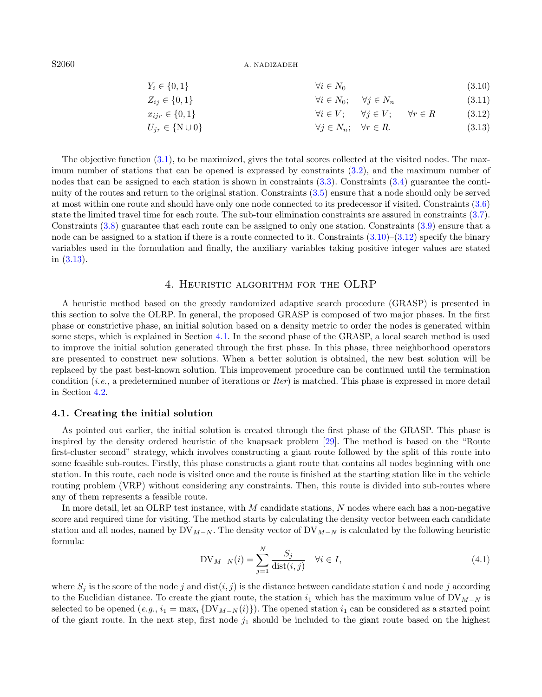S2060 A. NADIZADEH

<span id="page-5-3"></span><span id="page-5-2"></span><span id="page-5-1"></span>

| $Y_i \in \{0, 1\}$        | $\forall i \in N_0$   | $(3.10)$            |                   |          |
|---------------------------|-----------------------|---------------------|-------------------|----------|
| $Z_{ij} \in \{0, 1\}$     | $\forall i \in N_0$ ; | $\forall j \in N_n$ | $(3.11)$          |          |
| $x_{ijr} \in \{0, 1\}$    | $\forall i \in V$ ;   | $\forall j \in V$ ; | $\forall r \in R$ | $(3.12)$ |
| $U_{jr} \in \{N \cup 0\}$ | $\forall j \in N_n$ ; | $\forall r \in R$   | $(3.13)$          |          |

The objective function [\(3.1\)](#page-4-0), to be maximized, gives the total scores collected at the visited nodes. The maximum number of stations that can be opened is expressed by constraints [\(3.2\)](#page-4-1), and the maximum number of nodes that can be assigned to each station is shown in constraints  $(3.3)$ . Constraints  $(3.4)$  guarantee the continuity of the routes and return to the original station. Constraints [\(3.5\)](#page-4-4) ensure that a node should only be served at most within one route and should have only one node connected to its predecessor if visited. Constraints [\(3.6\)](#page-4-5) state the limited travel time for each route. The sub-tour elimination constraints are assured in constraints [\(3.7\)](#page-4-6). Constraints [\(3.8\)](#page-4-7) guarantee that each route can be assigned to only one station. Constraints [\(3.9\)](#page-4-8) ensure that a node can be assigned to a station if there is a route connected to it. Constraints  $(3.10)$ – $(3.12)$  specify the binary variables used in the formulation and finally, the auxiliary variables taking positive integer values are stated in [\(3.13\)](#page-5-3).

# 4. Heuristic algorithm for the OLRP

<span id="page-5-0"></span>A heuristic method based on the greedy randomized adaptive search procedure (GRASP) is presented in this section to solve the OLRP. In general, the proposed GRASP is composed of two major phases. In the first phase or constrictive phase, an initial solution based on a density metric to order the nodes is generated within some steps, which is explained in Section [4.1.](#page-5-4) In the second phase of the GRASP, a local search method is used to improve the initial solution generated through the first phase. In this phase, three neighborhood operators are presented to construct new solutions. When a better solution is obtained, the new best solution will be replaced by the past best-known solution. This improvement procedure can be continued until the termination condition (i.e., a predetermined number of iterations or Iter) is matched. This phase is expressed in more detail in Section [4.2.](#page-6-0)

#### <span id="page-5-5"></span><span id="page-5-4"></span>4.1. Creating the initial solution

As pointed out earlier, the initial solution is created through the first phase of the GRASP. This phase is inspired by the density ordered heuristic of the knapsack problem [\[29\]](#page-13-26). The method is based on the "Route first-cluster second" strategy, which involves constructing a giant route followed by the split of this route into some feasible sub-routes. Firstly, this phase constructs a giant route that contains all nodes beginning with one station. In this route, each node is visited once and the route is finished at the starting station like in the vehicle routing problem (VRP) without considering any constraints. Then, this route is divided into sub-routes where any of them represents a feasible route.

In more detail, let an OLRP test instance, with M candidate stations, N nodes where each has a non-negative score and required time for visiting. The method starts by calculating the density vector between each candidate station and all nodes, named by  $\text{DV}_{M-N}$ . The density vector of  $\text{DV}_{M-N}$  is calculated by the following heuristic formula:

$$
DV_{M-N}(i) = \sum_{j=1}^{N} \frac{S_j}{\text{dist}(i,j)} \quad \forall i \in I,
$$
\n(4.1)

where  $S_j$  is the score of the node j and  $dist(i, j)$  is the distance between candidate station i and node j according to the Euclidian distance. To create the giant route, the station  $i_1$  which has the maximum value of DV<sub>M−N</sub> is selected to be opened  $(e.g., i_1 = \max_i \{DV_{M-N}(i)\})$ . The opened station  $i_1$  can be considered as a started point of the giant route. In the next step, first node  $j_1$  should be included to the giant route based on the highest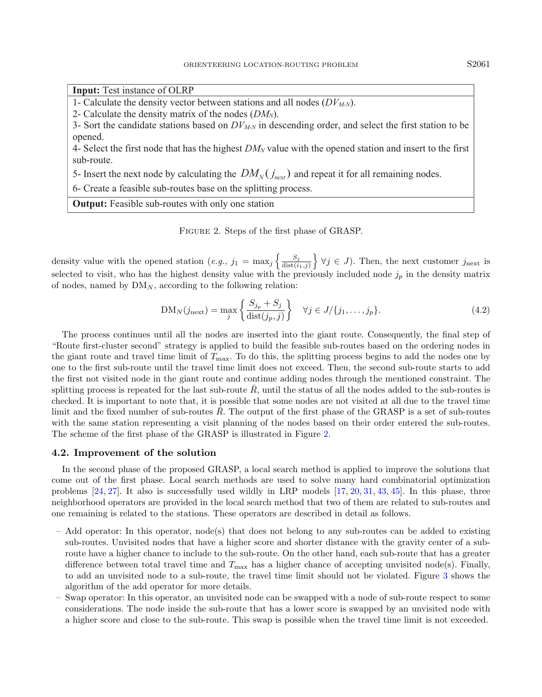**Input:** Test instance of OLRP

1- Calculate the density vector between stations and all nodes (*DVM-N*).

2- Calculate the density matrix of the nodes (*DMN*).

3- Sort the candidate stations based on *DVM-N* in descending order, and select the first station to be opened.

4- Select the first node that has the highest *DM<sup>N</sup>* value with the opened station and insert to the first sub-route.

5- Insert the next node by calculating the  $DM_v(j_{\text{next}})$  and repeat it for all remaining nodes.

6- Create a feasible sub-routes base on the splitting process.

**Output:** Feasible sub-routes with only one station

<span id="page-6-1"></span>Figure 2. Steps of the first phase of GRASP.

density value with the opened station (e.g.,  $j_1 = \max_j \left\{ \frac{S_j}{\text{dist}(i)} \right\}$  $\left\{\frac{S_j}{\text{dist}(i_1,j)}\right\}$   $\forall j \in J$ ). Then, the next customer  $j_{\text{next}}$  is selected to visit, who has the highest density value with the previously included node  $j_p$  in the density matrix of nodes, named by  $DM_N$ , according to the following relation:

$$
DM_N(j_{\text{next}}) = \max_j \left\{ \frac{S_{j_p} + S_j}{\text{dist}(j_p, j)} \right\} \quad \forall j \in J/\{j_1, \dots, j_p\}.
$$
\n(4.2)

The process continues until all the nodes are inserted into the giant route. Consequently, the final step of "Route first-cluster second" strategy is applied to build the feasible sub-routes based on the ordering nodes in the giant route and travel time limit of  $T_{\text{max}}$ . To do this, the splitting process begins to add the nodes one by one to the first sub-route until the travel time limit does not exceed. Then, the second sub-route starts to add the first not visited node in the giant route and continue adding nodes through the mentioned constraint. The splitting process is repeated for the last sub-route  $\bar{R}$ , until the status of all the nodes added to the sub-routes is checked. It is important to note that, it is possible that some nodes are not visited at all due to the travel time limit and the fixed number of sub-routes  $\overline{R}$ . The output of the first phase of the GRASP is a set of sub-routes with the same station representing a visit planning of the nodes based on their order entered the sub-routes. The scheme of the first phase of the GRASP is illustrated in Figure [2.](#page-6-1)

#### <span id="page-6-0"></span>4.2. Improvement of the solution

In the second phase of the proposed GRASP, a local search method is applied to improve the solutions that come out of the first phase. Local search methods are used to solve many hard combinatorial optimization problems [\[24,](#page-13-27) [27\]](#page-13-28). It also is successfully used wildly in LRP models [\[17,](#page-13-23) [20,](#page-13-24) [31,](#page-13-29) [43,](#page-13-20) [45\]](#page-13-30). In this phase, three neighborhood operators are provided in the local search method that two of them are related to sub-routes and one remaining is related to the stations. These operators are described in detail as follows.

- Add operator: In this operator, node(s) that does not belong to any sub-routes can be added to existing sub-routes. Unvisited nodes that have a higher score and shorter distance with the gravity center of a subroute have a higher chance to include to the sub-route. On the other hand, each sub-route that has a greater difference between total travel time and  $T_{\text{max}}$  has a higher chance of accepting unvisited node(s). Finally, to add an unvisited node to a sub-route, the travel time limit should not be violated. Figure [3](#page-7-1) shows the algorithm of the add operator for more details.
- Swap operator: In this operator, an unvisited node can be swapped with a node of sub-route respect to some considerations. The node inside the sub-route that has a lower score is swapped by an unvisited node with a higher score and close to the sub-route. This swap is possible when the travel time limit is not exceeded.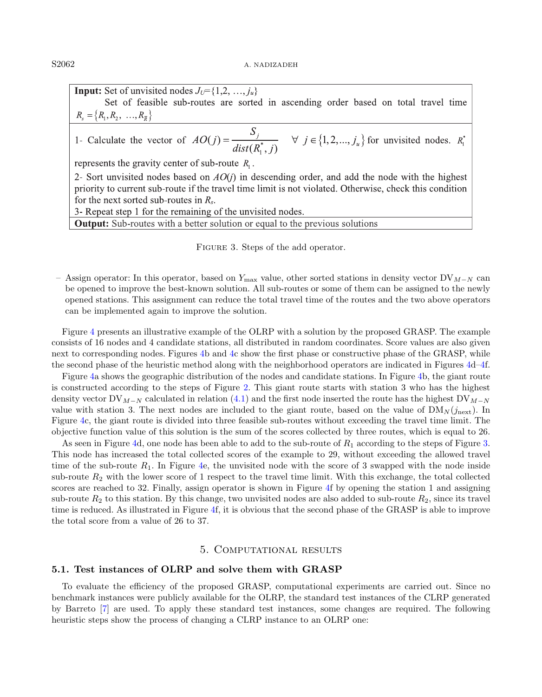**Input:** Set of unvisited nodes  $J_U = \{1, 2, ..., j_u\}$ Set of feasible sub-routes are sorted in ascending order based on total travel time  $R_{s} = \{R_{1}, R_{2}, ..., R_{\overline{R}}\}\$ 1- Calculate the vector of  $AO(j) = \frac{S_j}{dist(R_1^*, j)}$   $\forall j \in \{1, 2, ..., j_u\}$  for unvisited nodes.  $R_1^*$ represents the gravity center of sub-route  $R_1$ . 2- Sort unvisited nodes based on  $AO(i)$  in descending order, and add the node with the highest priority to current sub-route if the travel time limit is not violated. Otherwise, check this condition for the next sorted sub-routes in  $R_s$ .

3- Repeat step 1 for the remaining of the unvisited nodes.

**Output:** Sub-routes with a better solution or equal to the previous solutions

<span id="page-7-1"></span>FIGURE 3. Steps of the add operator.

– Assign operator: In this operator, based on  $Y_{\text{max}}$  value, other sorted stations in density vector DV<sub>M−N</sub> can be opened to improve the best-known solution. All sub-routes or some of them can be assigned to the newly opened stations. This assignment can reduce the total travel time of the routes and the two above operators can be implemented again to improve the solution.

Figure [4](#page-8-0) presents an illustrative example of the OLRP with a solution by the proposed GRASP. The example consists of 16 nodes and 4 candidate stations, all distributed in random coordinates. Score values are also given next to corresponding nodes. Figures [4b](#page-8-0) and [4c](#page-8-0) show the first phase or constructive phase of the GRASP, while the second phase of the heuristic method along with the neighborhood operators are indicated in Figures [4d–4f](#page-8-0).

Figure [4a](#page-8-0) shows the geographic distribution of the nodes and candidate stations. In Figure [4b](#page-8-0), the giant route is constructed according to the steps of Figure [2.](#page-6-1) This giant route starts with station 3 who has the highest density vector DV<sub>M−N</sub> calculated in relation [\(4.1\)](#page-5-5) and the first node inserted the route has the highest DV<sub>M−N</sub> value with station 3. The next nodes are included to the giant route, based on the value of  $DM_N(j_{\text{next}})$ . In Figure [4c](#page-8-0), the giant route is divided into three feasible sub-routes without exceeding the travel time limit. The objective function value of this solution is the sum of the scores collected by three routes, which is equal to 26.

As seen in Figure [4d](#page-8-0), one node has been able to add to the sub-route of  $R_1$  according to the steps of Figure [3.](#page-7-1) This node has increased the total collected scores of the example to 29, without exceeding the allowed travel time of the sub-route  $R_1$ . In Figure [4e](#page-8-0), the unvisited node with the score of 3 swapped with the node inside sub-route  $R_2$  with the lower score of 1 respect to the travel time limit. With this exchange, the total collected scores are reached to 32. Finally, assign operator is shown in Figure [4f](#page-8-0) by opening the station 1 and assigning sub-route  $R_2$  to this station. By this change, two unvisited nodes are also added to sub-route  $R_2$ , since its travel time is reduced. As illustrated in Figure [4f](#page-8-0), it is obvious that the second phase of the GRASP is able to improve the total score from a value of 26 to 37.

## 5. Computational results

# <span id="page-7-0"></span>5.1. Test instances of OLRP and solve them with GRASP

To evaluate the efficiency of the proposed GRASP, computational experiments are carried out. Since no benchmark instances were publicly available for the OLRP, the standard test instances of the CLRP generated by Barreto [\[7\]](#page-12-14) are used. To apply these standard test instances, some changes are required. The following heuristic steps show the process of changing a CLRP instance to an OLRP one: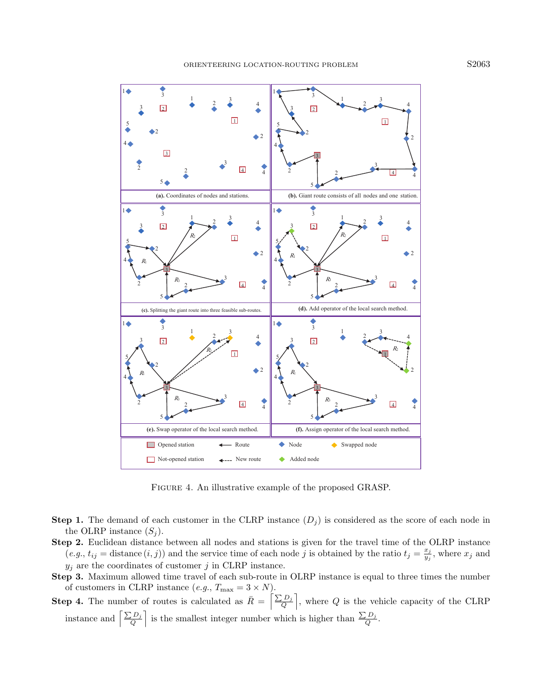

<span id="page-8-0"></span>FIGURE 4. An illustrative example of the proposed GRASP.

- **Step 1.** The demand of each customer in the CLRP instance  $(D_i)$  is considered as the score of each node in the OLRP instance  $(S_i)$ .
- Step 2. Euclidean distance between all nodes and stations is given for the travel time of the OLRP instance  $(e.g., t_{ij} = \text{distance}(i, j))$  and the service time of each node j is obtained by the ratio  $t_j = \frac{x_j}{u_j}$  $\frac{x_j}{y_j}$ , where  $x_j$  and  $y_j$  are the coordinates of customer j in CLRP instance.
- Step 3. Maximum allowed time travel of each sub-route in OLRP instance is equal to three times the number of customers in CLRP instance  $(e.g., T_{\text{max}} = 3 \times N)$ .
- Step 4. The number of routes is calculated as  $\overline{R} = \left[\frac{\sum D_j}{Q}\right]$ , where Q is the vehicle capacity of the CLRP instance and  $\left[\frac{\sum D_j}{Q}\right]$  is the smallest integer number which is higher than  $\frac{\sum D_j}{Q}$ .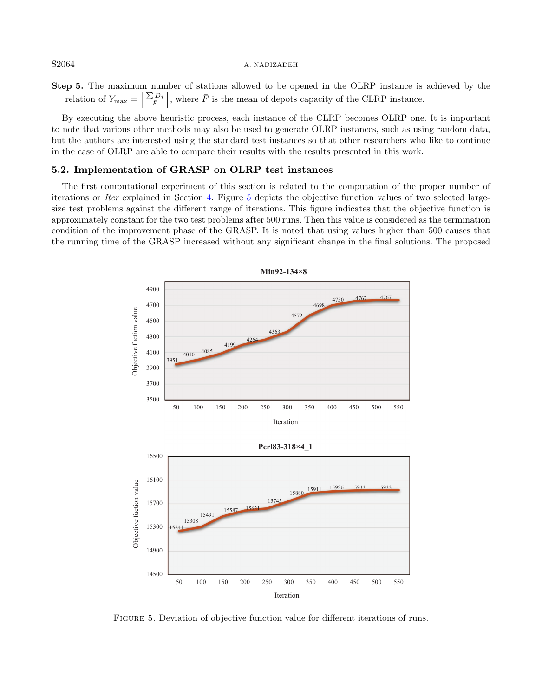#### S2064 A. NADIZADEH

Step 5. The maximum number of stations allowed to be opened in the OLRP instance is achieved by the relation of  $Y_{\text{max}} = \left[\frac{\sum D_j}{\overline{F}}\right]$ , where  $\overline{F}$  is the mean of depots capacity of the CLRP instance.

By executing the above heuristic process, each instance of the CLRP becomes OLRP one. It is important to note that various other methods may also be used to generate OLRP instances, such as using random data, but the authors are interested using the standard test instances so that other researchers who like to continue in the case of OLRP are able to compare their results with the results presented in this work.

## 5.2. Implementation of GRASP on OLRP test instances

The first computational experiment of this section is related to the computation of the proper number of iterations or Iter explained in Section [4.](#page-5-0) Figure [5](#page-9-0) depicts the objective function values of two selected largesize test problems against the different range of iterations. This figure indicates that the objective function is approximately constant for the two test problems after 500 runs. Then this value is considered as the termination condition of the improvement phase of the GRASP. It is noted that using values higher than 500 causes that the running time of the GRASP increased without any significant change in the final solutions. The proposed



Iteration

<span id="page-9-0"></span>Figure 5. Deviation of objective function value for different iterations of runs.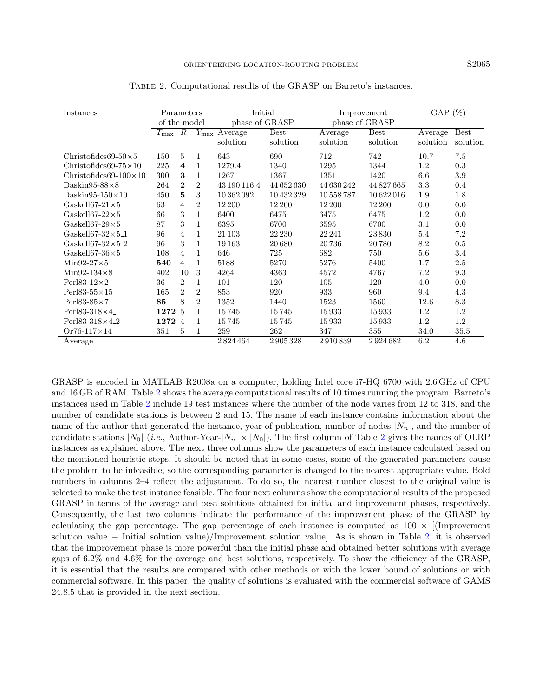| Instances                             | Parameters<br>of the model |                         | Initial<br>phase of GRASP |                                                 | Improvement<br>phase of GRASP |                     | GAP $(\%)$              |                     |                         |
|---------------------------------------|----------------------------|-------------------------|---------------------------|-------------------------------------------------|-------------------------------|---------------------|-------------------------|---------------------|-------------------------|
|                                       | $T_{\rm max}$ R            |                         |                           | $\overline{Y_{\text{max}}}$ Average<br>solution | <b>Best</b><br>solution       | Average<br>solution | <b>Best</b><br>solution | Average<br>solution | <b>Best</b><br>solution |
| Christofides69-50 $\times$ 5          | 150                        | 5                       | 1                         | 643                                             | 690                           | 712                 | 742                     | 10.7                | 7.5                     |
| Christofides 69-75 $\times$ 10        | 225                        | $\overline{\mathbf{4}}$ | 1                         | 1279.4                                          | 1340                          | 1295                | 1344                    | 1.2                 | 0.3                     |
| Christofides69- $100\times10$         | 300                        | 3                       | 1                         | 1267                                            | 1367                          | 1351                | 1420                    | 6.6                 | 3.9                     |
| Daskin95-88 $\times$ 8                | 264                        | $\bf{2}$                | $\overline{2}$            | 43 190 116.4                                    | 44 652 630                    | 44 630 242          | 44 827 665              | 3.3                 | 0.4                     |
| Daskin95-150 $\times$ 10              | 450                        | 5                       | 3                         | 10 362 092                                      | 10432329                      | 10 558 787          | 10622016                | 1.9                 | 1.8                     |
| Gaskell67-21 $\times$ 5               | 63                         | 4                       | $\overline{2}$            | 12 200                                          | 12 200                        | 12 200              | 12 200                  | 0.0                 | 0.0                     |
| Gaskell67-22 $\times$ 5               | 66                         | 3                       | $\mathbf{1}$              | 6400                                            | 6475                          | 6475                | 6475                    | 1.2                 | 0.0                     |
| Gaskell67-29 $\times$ 5               | 87                         | 3                       | 1                         | 6395                                            | 6700                          | 6595                | 6700                    | 3.1                 | 0.0                     |
| Gaskell67-32 $\times$ 5 <sub>-1</sub> | 96                         | 4                       | 1                         | 21 103                                          | 22 230                        | 22 24 1             | 23830                   | 5.4                 | 7.2                     |
| Gaskell67-32 $\times$ 5 <sub>-2</sub> | 96                         | 3                       | 1                         | 19163                                           | 20680                         | 20736               | 20780                   | 8.2                 | 0.5                     |
| Gaskell67-36 $\times$ 5               | 108                        | 4                       | 1                         | 646                                             | 725                           | 682                 | 750                     | 5.6                 | 3.4                     |
| $Min92-27\times5$                     | 540                        | $\overline{4}$          | 1                         | 5188                                            | 5270                          | 5276                | 5400                    | 1.7                 | 2.5                     |
| Min92-134 $\times$ 8                  | 402                        | 10                      | 3                         | 4264                                            | 4363                          | 4572                | 4767                    | 7.2                 | 9.3                     |
| Perl83-12 $\times$ 2                  | 36                         | $\overline{2}$          | 1                         | 101                                             | 120                           | 105                 | 120                     | 4.0                 | 0.0                     |
| Perl83-55 $\times$ 15                 | 165                        | $\overline{2}$          | $\overline{2}$            | 853                                             | 920                           | 933                 | 960                     | 9.4                 | 4.3                     |
| Perl83-85 $\times$ 7                  | 85                         | 8                       | $\overline{2}$            | 1352                                            | 1440                          | 1523                | 1560                    | 12.6                | 8.3                     |
| Perl83-318 $\times$ 4_1               | 1272                       | $\overline{5}$          | 1                         | 15745                                           | 15745                         | 15933               | 15933                   | 1.2                 | 1.2                     |
| Perl83-318×4 <sub>-2</sub>            | 1272                       | $\overline{4}$          | 1                         | 15745                                           | 15745                         | 15933               | 15933                   | 1.2                 | $1.2\,$                 |
| Or76-117 $\times$ 14                  | 351                        | 5                       | $\mathbf{1}$              | 259                                             | 262                           | 347                 | 355                     | 34.0                | 35.5                    |
| Average                               |                            |                         |                           | 2824464                                         | 2905328                       | 2910839             | 2924682                 | 6.2                 | 4.6                     |

<span id="page-10-0"></span>Table 2. Computational results of the GRASP on Barreto's instances.

GRASP is encoded in MATLAB R2008a on a computer, holding Intel core i7-HQ 6700 with 2.6 GHz of CPU and 16 GB of RAM. Table [2](#page-10-0) shows the average computational results of 10 times running the program. Barreto's instances used in Table [2](#page-10-0) include 19 test instances where the number of the node varies from 12 to 318, and the number of candidate stations is between 2 and 15. The name of each instance contains information about the name of the author that generated the instance, year of publication, number of nodes  $|N_n|$ , and the number of candidate stations  $|N_0|$  (*i.e.*, Author-Year- $|N_n| \times |N_0|$ ). The first column of Table [2](#page-10-0) gives the names of OLRP instances as explained above. The next three columns show the parameters of each instance calculated based on the mentioned heuristic steps. It should be noted that in some cases, some of the generated parameters cause the problem to be infeasible, so the corresponding parameter is changed to the nearest appropriate value. Bold numbers in columns 2–4 reflect the adjustment. To do so, the nearest number closest to the original value is selected to make the test instance feasible. The four next columns show the computational results of the proposed GRASP in terms of the average and best solutions obtained for initial and improvement phases, respectively. Consequently, the last two columns indicate the performance of the improvement phase of the GRASP by calculating the gap percentage. The gap percentage of each instance is computed as  $100 \times$  [(Improvement solution value − Initial solution value)/Improvement solution value]. As is shown in Table [2,](#page-10-0) it is observed that the improvement phase is more powerful than the initial phase and obtained better solutions with average gaps of 6.2% and 4.6% for the average and best solutions, respectively. To show the efficiency of the GRASP, it is essential that the results are compared with other methods or with the lower bound of solutions or with commercial software. In this paper, the quality of solutions is evaluated with the commercial software of GAMS 24.8.5 that is provided in the next section.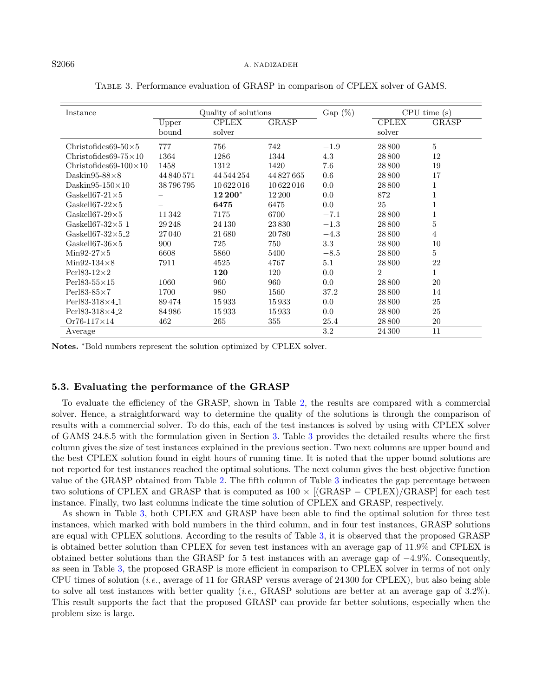| Instance                              | Quality of solutions |              |            | $Gap(\%)$ | CPU time(s)    |                |  |
|---------------------------------------|----------------------|--------------|------------|-----------|----------------|----------------|--|
|                                       | Upper                | <b>CPLEX</b> | GRASP      |           | <b>CPLEX</b>   | <b>GRASP</b>   |  |
|                                       | bound                | solver       |            |           | solver         |                |  |
| Christofides69-50 $\times$ 5          | 777                  | 756          | 742        | $-1.9$    | 28 800         | 5              |  |
| Christofides 69-75 $\times$ 10        | 1364                 | 1286         | 1344       | 4.3       | 28 800         | 12             |  |
| Christofides69- $100\times10$         | 1458                 | 1312         | 1420       | 7.6       | 28 800         | 19             |  |
| Daskin95-88 $\times$ 8                | 44 840 571           | 44 544 254   | 44 827 665 | 0.6       | 28 800         | 17             |  |
| Daskin95-150 $\times$ 10              | 38796795             | 10622016     | 10622016   | 0.0       | 28 800         | 1              |  |
| Gaskell67- $21\times5$                |                      | 12 200*      | 12 200     | 0.0       | 872            | 1              |  |
| Gaskell67-22 $\times$ 5               |                      | 6475         | 6475       | 0.0       | 25             | $\mathbf{1}$   |  |
| Gaskell67-29 $\times$ 5               | 11342                | 7175         | 6700       | $-7.1$    | 28800          | $\mathbf{1}$   |  |
| Gaskell67-32 $\times$ 5 <sub>-1</sub> | 29 248               | 24 130       | 23830      | $-1.3$    | 28 800         | 5              |  |
| Gaskell67- $32\times5.2$              | 27040                | 21680        | 20780      | $-4.3$    | 28 800         | $\overline{4}$ |  |
| Gaskell67-36 $\times$ 5               | 900                  | 725          | 750        | $3.3\,$   | 28 800         | 10             |  |
| $Min92-27\times5$                     | 6608                 | 5860         | 5400       | $-8.5$    | 28 800         | $\bf 5$        |  |
| Min92-134 $\times$ 8                  | 7911                 | 4525         | 4767       | 5.1       | 28 800         | 22             |  |
| Perl83-12 $\times$ 2                  |                      | 120          | 120        | 0.0       | $\overline{2}$ | 1              |  |
| Perl83-55 $\times$ 15                 | 1060                 | 960          | 960        | 0.0       | 28 800         | 20             |  |
| Perl83-85 $\times$ 7                  | 1700                 | 980          | 1560       | 37.2      | 28 800         | 14             |  |
| Perl83-318×4 <sub>-1</sub>            | 89474                | 15933        | 15933      | 0.0       | 28 800         | 25             |  |
| Perl83-318 $\times$ 4_2               | 84986                | 15933        | 15933      | 0.0       | 28 800         | 25             |  |
| $Or76-117\times14$                    | 462                  | 265          | 355        | 25.4      | 28 800         | 20             |  |
| Average                               |                      |              |            | 3.2       | 24 300         | 11             |  |

<span id="page-11-0"></span>Table 3. Performance evaluation of GRASP in comparison of CPLEX solver of GAMS.

Notes. \*Bold numbers represent the solution optimized by CPLEX solver.

#### 5.3. Evaluating the performance of the GRASP

To evaluate the efficiency of the GRASP, shown in Table [2,](#page-10-0) the results are compared with a commercial solver. Hence, a straightforward way to determine the quality of the solutions is through the comparison of results with a commercial solver. To do this, each of the test instances is solved by using with CPLEX solver of GAMS 24.8.5 with the formulation given in Section [3.](#page-3-0) Table [3](#page-11-0) provides the detailed results where the first column gives the size of test instances explained in the previous section. Two next columns are upper bound and the best CPLEX solution found in eight hours of running time. It is noted that the upper bound solutions are not reported for test instances reached the optimal solutions. The next column gives the best objective function value of the GRASP obtained from Table [2.](#page-10-0) The fifth column of Table [3](#page-11-0) indicates the gap percentage between two solutions of CPLEX and GRASP that is computed as  $100 \times$  [(GRASP – CPLEX)/GRASP] for each test instance. Finally, two last columns indicate the time solution of CPLEX and GRASP, respectively.

As shown in Table [3,](#page-11-0) both CPLEX and GRASP have been able to find the optimal solution for three test instances, which marked with bold numbers in the third column, and in four test instances, GRASP solutions are equal with CPLEX solutions. According to the results of Table [3,](#page-11-0) it is observed that the proposed GRASP is obtained better solution than CPLEX for seven test instances with an average gap of 11.9% and CPLEX is obtained better solutions than the GRASP for 5 test instances with an average gap of −4.9%. Consequently, as seen in Table [3,](#page-11-0) the proposed GRASP is more efficient in comparison to CPLEX solver in terms of not only CPU times of solution (*i.e.*, average of 11 for GRASP versus average of 24 300 for CPLEX), but also being able to solve all test instances with better quality (*i.e.*, GRASP solutions are better at an average gap of  $3.2\%$ ). This result supports the fact that the proposed GRASP can provide far better solutions, especially when the problem size is large.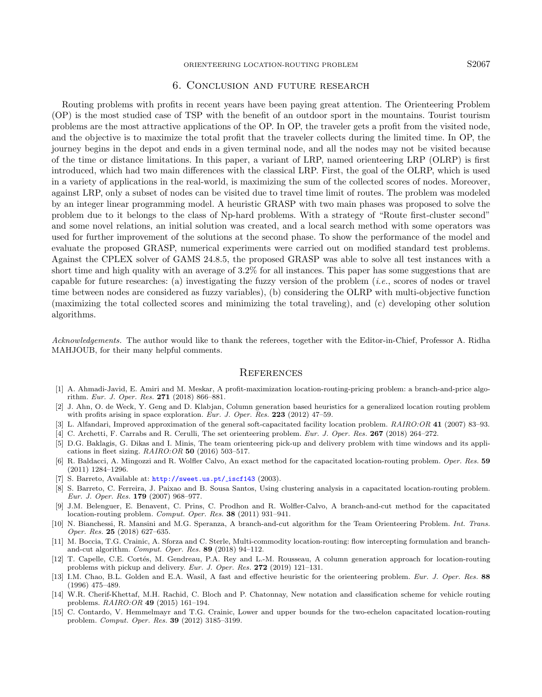# 6. Conclusion and future research

Routing problems with profits in recent years have been paying great attention. The Orienteering Problem (OP) is the most studied case of TSP with the benefit of an outdoor sport in the mountains. Tourist tourism problems are the most attractive applications of the OP. In OP, the traveler gets a profit from the visited node, and the objective is to maximize the total profit that the traveler collects during the limited time. In OP, the journey begins in the depot and ends in a given terminal node, and all the nodes may not be visited because of the time or distance limitations. In this paper, a variant of LRP, named orienteering LRP (OLRP) is first introduced, which had two main differences with the classical LRP. First, the goal of the OLRP, which is used in a variety of applications in the real-world, is maximizing the sum of the collected scores of nodes. Moreover, against LRP, only a subset of nodes can be visited due to travel time limit of routes. The problem was modeled by an integer linear programming model. A heuristic GRASP with two main phases was proposed to solve the problem due to it belongs to the class of Np-hard problems. With a strategy of "Route first-cluster second" and some novel relations, an initial solution was created, and a local search method with some operators was used for further improvement of the solutions at the second phase. To show the performance of the model and evaluate the proposed GRASP, numerical experiments were carried out on modified standard test problems. Against the CPLEX solver of GAMS 24.8.5, the proposed GRASP was able to solve all test instances with a short time and high quality with an average of 3.2% for all instances. This paper has some suggestions that are capable for future researches: (a) investigating the fuzzy version of the problem (i.e., scores of nodes or travel time between nodes are considered as fuzzy variables), (b) considering the OLRP with multi-objective function (maximizing the total collected scores and minimizing the total traveling), and (c) developing other solution algorithms.

<span id="page-12-14"></span><span id="page-12-13"></span><span id="page-12-10"></span><span id="page-12-6"></span><span id="page-12-5"></span><span id="page-12-4"></span><span id="page-12-2"></span><span id="page-12-0"></span>Acknowledgements. The author would like to thank the referees, together with the Editor-in-Chief, Professor A. Ridha MAHJOUB, for their many helpful comments.

#### **REFERENCES**

- <span id="page-12-12"></span><span id="page-12-3"></span>[1] A. Ahmadi-Javid, E. Amiri and M. Meskar, A profit-maximization location-routing-pricing problem: a branch-and-price algorithm. Eur. J. Oper. Res. 271 (2018) 866–881.
- <span id="page-12-9"></span>[2] J. Ahn, O. de Weck, Y. Geng and D. Klabjan, Column generation based heuristics for a generalized location routing problem with profits arising in space exploration. Eur. J. Oper. Res. 223 (2012)  $47-59$ .
- <span id="page-12-8"></span>[3] L. Alfandari, Improved approximation of the general soft-capacitated facility location problem. RAIRO:OR 41 (2007) 83–93.
- [4] C. Archetti, F. Carrabs and R. Cerulli, The set orienteering problem. Eur. J. Oper. Res. 267 (2018) 264–272.
- <span id="page-12-11"></span>[5] D.G. Baklagis, G. Dikas and I. Minis, The team orienteering pick-up and delivery problem with time windows and its applications in fleet sizing.  $RAIRO:OR$  50 (2016) 503-517.
- <span id="page-12-1"></span>[6] R. Baldacci, A. Mingozzi and R. Wolfler Calvo, An exact method for the capacitated location-routing problem. Oper. Res. 59 (2011) 1284–1296.
- <span id="page-12-7"></span>[7] S. Barreto, Available at: [http://sweet.us.pt/](http://sweet.us) iscf143 (2003).
- [8] S. Barreto, C. Ferreira, J. Paixao and B. Sousa Santos, Using clustering analysis in a capacitated location-routing problem. Eur. J. Oper. Res. 179 (2007) 968–977.
- [9] J.M. Belenguer, E. Benavent, C. Prins, C. Prodhon and R. Wolfler-Calvo, A branch-and-cut method for the capacitated location-routing problem. Comput. Oper. Res. 38 (2011) 931–941.
- [10] N. Bianchessi, R. Mansini and M.G. Speranza, A branch-and-cut algorithm for the Team Orienteering Problem. Int. Trans. Oper. Res. 25 (2018) 627–635.
- [11] M. Boccia, T.G. Crainic, A. Sforza and C. Sterle, Multi-commodity location-routing: flow intercepting formulation and branchand-cut algorithm. Comput. Oper. Res. 89 (2018) 94–112.
- [12] T. Capelle, C.E. Cortés, M. Gendreau, P.A. Rey and L.-M. Rousseau, A column generation approach for location-routing problems with pickup and delivery. Eur. J. Oper. Res. 272 (2019) 121–131.
- [13] I.M. Chao, B.L. Golden and E.A. Wasil, A fast and effective heuristic for the orienteering problem. Eur. J. Oper. Res. 88 (1996) 475–489.
- [14] W.R. Cherif-Khettaf, M.H. Rachid, C. Bloch and P. Chatonnay, New notation and classification scheme for vehicle routing problems. RAIRO:OR 49 (2015) 161–194.
- [15] C. Contardo, V. Hemmelmayr and T.G. Crainic, Lower and upper bounds for the two-echelon capacitated location-routing problem. Comput. Oper. Res. 39 (2012) 3185–3199.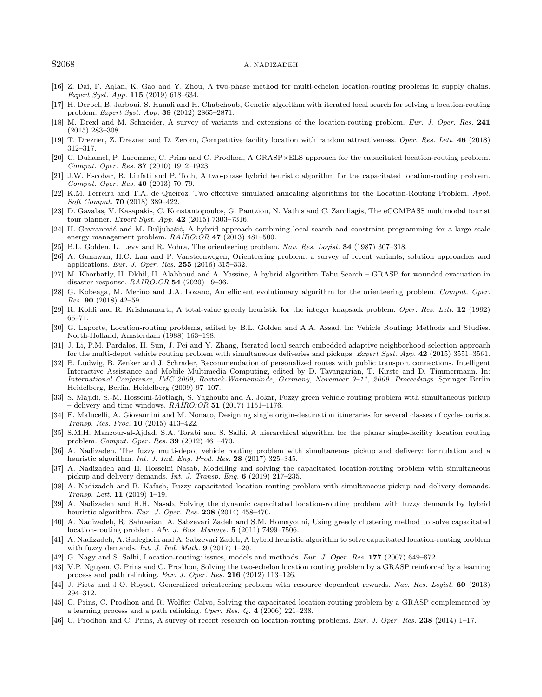#### <span id="page-13-24"></span><span id="page-13-23"></span><span id="page-13-22"></span><span id="page-13-21"></span><span id="page-13-9"></span><span id="page-13-6"></span><span id="page-13-1"></span>S2068 A. NADIZADEH

- <span id="page-13-15"></span>[16] Z. Dai, F. Aqlan, K. Gao and Y. Zhou, A two-phase method for multi-echelon location-routing problems in supply chains. Expert Syst. App. 115 (2019) 618–634.
- <span id="page-13-27"></span>[17] H. Derbel, B. Jarboui, S. Hanafi and H. Chabchoub, Genetic algorithm with iterated local search for solving a location-routing problem. Expert Syst. App. 39 (2012) 2865–2871.
- <span id="page-13-25"></span><span id="page-13-12"></span>[18] M. Drexl and M. Schneider, A survey of variants and extensions of the location-routing problem. Eur. J. Oper. Res. 241 (2015) 283–308.
- <span id="page-13-28"></span>[19] T. Drezner, Z. Drezner and D. Zerom, Competitive facility location with random attractiveness. Oper. Res. Lett. 46 (2018) 312–317.
- <span id="page-13-13"></span>[20] C. Duhamel, P. Lacomme, C. Prins and C. Prodhon, A GRASP×ELS approach for the capacitated location-routing problem. Comput. Oper. Res. 37 (2010) 1912–1923.
- <span id="page-13-26"></span>[21] J.W. Escobar, R. Linfati and P. Toth, A two-phase hybrid heuristic algorithm for the capacitated location-routing problem. Comput. Oper. Res. 40 (2013) 70–79.
- <span id="page-13-18"></span>[22] K.M. Ferreira and T.A. de Queiroz, Two effective simulated annealing algorithms for the Location-Routing Problem. Appl. Soft Comput. 70 (2018) 389–422.
- <span id="page-13-29"></span>[23] D. Gavalas, V. Kasapakis, C. Konstantopoulos, G. Pantziou, N. Vathis and C. Zaroliagis, The eCOMPASS multimodal tourist tour planner. Expert Syst. App. 42 (2015) 7303–7316.
- <span id="page-13-14"></span>[24] H. Gavranović and M. Buljubašić, A hybrid approach combining local search and constraint programming for a large scale energy management problem. RAIRO:OR 47 (2013) 481–500.
- [25] B.L. Golden, L. Levy and R. Vohra, The orienteering problem. Nav. Res. Logist. 34 (1987) 307–318.
- [26] A. Gunawan, H.C. Lau and P. Vansteenwegen, Orienteering problem: a survey of recent variants, solution approaches and applications. Eur. J. Oper. Res. 255 (2016) 315–332.
- <span id="page-13-2"></span>[27] M. Khorbatly, H. Dkhil, H. Alabboud and A. Yassine, A hybrid algorithm Tabu Search – GRASP for wounded evacuation in disaster response. RAIRO:OR 54 (2020) 19–36.
- <span id="page-13-16"></span>[28] G. Kobeaga, M. Merino and J.A. Lozano, An efficient evolutionary algorithm for the orienteering problem. Comput. Oper. Res. 90 (2018) 42–59.
- <span id="page-13-8"></span>[29] R. Kohli and R. Krishnamurti, A total-value greedy heuristic for the integer knapsack problem. Oper. Res. Lett. 12 (1992) 65–71.
- <span id="page-13-3"></span>[30] G. Laporte, Location-routing problems, edited by B.L. Golden and A.A. Assad. In: Vehicle Routing: Methods and Studies. North-Holland, Amsterdam (1988) 163–198.
- <span id="page-13-19"></span>[31] J. Li, P.M. Pardalos, H. Sun, J. Pei and Y. Zhang, Iterated local search embedded adaptive neighborhood selection approach for the multi-depot vehicle routing problem with simultaneous deliveries and pickups. Expert Syst. App. 42 (2015) 3551–3561.
- <span id="page-13-5"></span><span id="page-13-0"></span>[32] B. Ludwig, B. Zenker and J. Schrader, Recommendation of personalized routes with public transport connections. Intelligent Interactive Assistance and Mobile Multimedia Computing, edited by D. Tavangarian, T. Kirste and D. Timmermann. In: International Conference, IMC 2009, Rostock-Warnem¨unde, Germany, November 9–11, 2009. Proceedings. Springer Berlin Heidelberg, Berlin, Heidelberg (2009) 97–107.
- <span id="page-13-7"></span>[33] S. Majidi, S.-M. Hosseini-Motlagh, S. Yaghoubi and A. Jokar, Fuzzy green vehicle routing problem with simultaneous pickup – delivery and time windows.  $RAIRO:OR$  51 (2017) 1151–1176.
- <span id="page-13-4"></span>[34] F. Malucelli, A. Giovannini and M. Nonato, Designing single origin-destination itineraries for several classes of cycle-tourists. Transp. Res. Proc. 10 (2015) 413–422.
- <span id="page-13-20"></span><span id="page-13-10"></span>[35] S.M.H. Manzour-al-Ajdad, S.A. Torabi and S. Salhi, A hierarchical algorithm for the planar single-facility location routing problem. Comput. Oper. Res. 39 (2012) 461–470.
- <span id="page-13-17"></span>[36] A. Nadizadeh, The fuzzy multi-depot vehicle routing problem with simultaneous pickup and delivery: formulation and a heuristic algorithm. Int. J. Ind. Eng. Prod. Res. 28 (2017) 325-345.
- <span id="page-13-30"></span>[37] A. Nadizadeh and H. Hosseini Nasab, Modelling and solving the capacitated location-routing problem with simultaneous pickup and delivery demands. Int. J. Transp. Eng. 6 (2019) 217–235.
- <span id="page-13-11"></span>[38] A. Nadizadeh and B. Kafash, Fuzzy capacitated location-routing problem with simultaneous pickup and delivery demands. Transp. Lett. 11 (2019) 1–19.
- [39] A. Nadizadeh and H.H. Nasab, Solving the dynamic capacitated location-routing problem with fuzzy demands by hybrid heuristic algorithm. Eur. J. Oper. Res. 238 (2014) 458–470.
- [40] A. Nadizadeh, R. Sahraeian, A. Sabzevari Zadeh and S.M. Homayouni, Using greedy clustering method to solve capacitated location-routing problem. Afr. J. Bus. Manage. 5 (2011) 7499–7506.
- [41] A. Nadizadeh, A. Sadegheih and A. Sabzevari Zadeh, A hybrid heuristic algorithm to solve capacitated location-routing problem with fuzzy demands. Int. J. Ind. Math.  $9$  (2017) 1-20.
- [42] G. Nagy and S. Salhi, Location-routing: issues, models and methods. Eur. J. Oper. Res. 177 (2007) 649–672.
- [43] V.P. Nguyen, C. Prins and C. Prodhon, Solving the two-echelon location routing problem by a GRASP reinforced by a learning process and path relinking. Eur. J. Oper. Res. 216 (2012) 113–126.
- [44] J. Pietz and J.O. Royset, Generalized orienteering problem with resource dependent rewards. Nav. Res. Logist. 60 (2013) 294–312.
- [45] C. Prins, C. Prodhon and R. Wolfler Calvo, Solving the capacitated location-routing problem by a GRASP complemented by a learning process and a path relinking. Oper. Res. Q. 4 (2006) 221–238.
- [46] C. Prodhon and C. Prins, A survey of recent research on location-routing problems. Eur. J. Oper. Res. 238 (2014) 1–17.